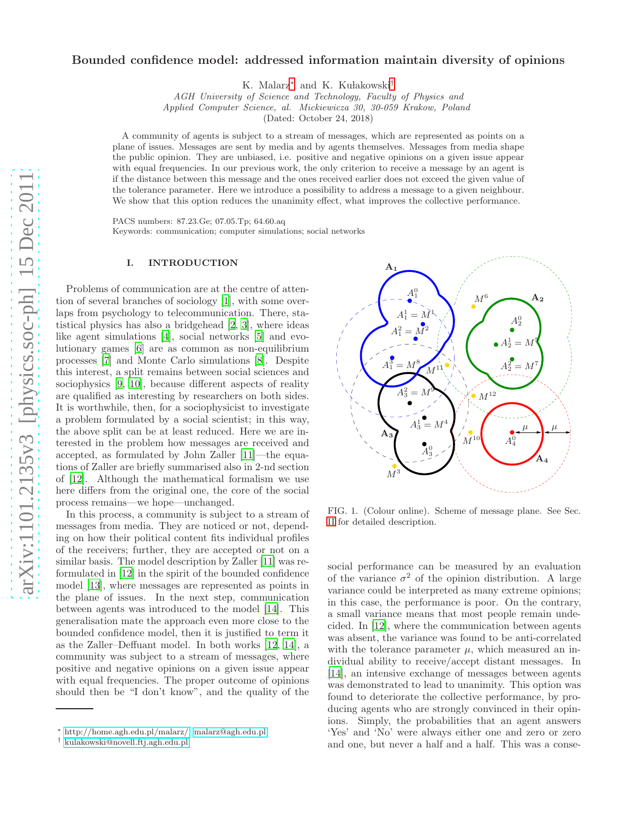# Bounded confidence model: addressed information maintain diversity of opinions

K. Malarz<sup>\*</sup> and K. Kułakowski<sup>[†](#page-0-1)</sup>

AGH University of Science and Technology, Faculty of Physics and

Applied Computer Science, al. Mickiewicza 30, 30-059 Krakow, Poland

(Dated: October 24, 2018)

A community of agents is subject to a stream of messages, which are represented as points on a plane of issues. Messages are sent by media and by agents themselves. Messages from media shape the public opinion. They are unbiased, i.e. positive and negative opinions on a given issue appear with equal frequencies. In our previous work, the only criterion to receive a message by an agent is if the distance between this message and the ones received earlier does not exceed the given value of the tolerance parameter. Here we introduce a possibility to address a message to a given neighbour. We show that this option reduces the unanimity effect, what improves the collective performance.

PACS numbers: 87.23.Ge; 07.05.Tp; 64.60.aq

Keywords: communication; computer simulations; social networks

PSfrag replacements

## I. INTRODUCTION

Problems of communication are at the centre of attention of several branches of sociology [\[1](#page-2-0)], with some overlaps from psychology to telecommunication. There, statistical physics has also a bridgehead [\[2,](#page-2-1) [3](#page-2-2)], where ideas like agent simulations [\[4](#page-2-3)], social networks [\[5](#page-2-4)] and evolutionary games [\[6](#page-2-5)] are as common as non-equilibrium processes [\[7\]](#page-2-6) and Monte Carlo simulations [\[8\]](#page-2-7). Despite this interest, a split remains between social sciences and sociophysics [\[9,](#page-2-8) [10\]](#page-2-9), because different aspects of reality are qualified as interesting by researchers on both sides. It is worthwhile, then, for a sociophysicist to investigate a problem formulated by a social scientist; in this way, the above split can be at least reduced. Here we are interested in the problem how messages are received and accepted, as formulated by John Zaller [\[11\]](#page-2-10)—the equations of Zaller are briefly summarised also in 2-nd section of [\[12\]](#page-2-11). Although the mathematical formalism we use here differs from the original one, the core of the social process remains—we hope—unchanged.

In this process, a community is subject to a stream of messages from media. They are noticed or not, depending on how their political content fits individual profiles of the receivers; further, they are accepted or not on a similar basis. The model description by Zaller [\[11](#page-2-10)] was reformulated in [\[12\]](#page-2-11) in the spirit of the bounded confidence model [\[13\]](#page-2-12), where messages are represented as points in the plane of issues. In the next step, communication between agents was introduced to the model [\[14\]](#page-2-13). This generalisation mate the approach even more close to the bounded confidence model, then it is justified to term it as the Zaller–Deffuant model. In both works [\[12](#page-2-11), [14\]](#page-2-13), a community was subject to a stream of messages, where positive and negative opinions on a given issue appear with equal frequencies. The proper outcome of opinions should then be "I don't know", and the quality of the



<span id="page-0-2"></span>FIG. 1. (Colour online). Scheme of message plane. See Sec. [II](#page-1-0) for detailed description.

social performance can be measured by an evaluation of the variance  $\sigma^2$  of the opinion distribution. A large variance could be interpreted as many extreme opinions; in this case, the performance is poor. On the contrary, a small variance means that most people remain undecided. In [\[12](#page-2-11)], where the communication between agents was absent, the variance was found to be anti-correlated with the tolerance parameter  $\mu$ , which measured an individual ability to receive/accept distant messages. In [\[14\]](#page-2-13), an intensive exchange of messages between agents was demonstrated to lead to unanimity. This option was found to deteriorate the collective performance, by producing agents who are strongly convinced in their opinions. Simply, the probabilities that an agent answers 'Yes' and 'No' were always either one and zero or zero and one, but never a half and a half. This was a conse-

<span id="page-0-0"></span><sup>∗</sup> [http://home.agh.edu.pl/malarz/;](http://home.agh.edu.pl/malarz/) [malarz@agh.edu.pl](mailto:malarz@agh.edu.pl)

<span id="page-0-1"></span><sup>†</sup> [kulakowski@novell.ftj.agh.edu.pl](mailto:kulakowski@novell.ftj.agh.edu.pl)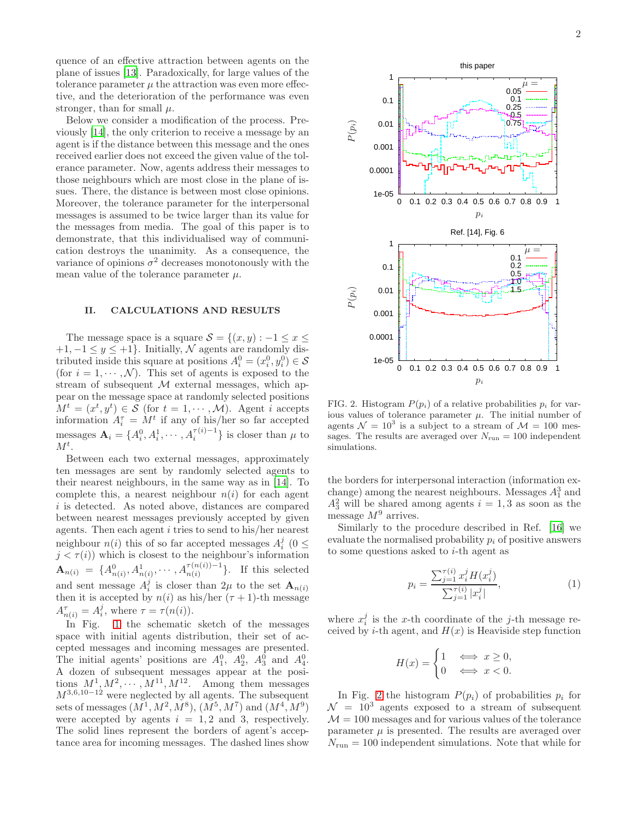quence of an effective attraction between agents on the plane of issues [\[13\]](#page-2-12). Paradoxically, for large values of the tolerance parameter  $\mu$  the attraction was even more effective, and the deterioration of the performance was even stronger, than for small  $\mu$ .

Below we consider a modification of the process. Previously [\[14](#page-2-13)], the only criterion to receive a message by an agent is if the distance between this message and the ones received earlier does not exceed the given value of the tolerance parameter. Now, agents address their messages to those neighbours which are most close in the **Strage of ise** ements sues. There, the distance is between most close opinions. Moreover, the tolerance parameter for the interpersonal messages is assumed to be twice larger than its value for the messages from media. The goal of this paper is to demonstrate, that this individualised way of communication destroys the unanimity. As a consequence, the variance of opinions  $\sigma^2$  decreases monotonously with the mean value of the tolerance parameter  $\mu$ .

#### <span id="page-1-0"></span>II. CALCULATIONS AND RESULTS

The message space is a square  $S = \{(x, y) : -1 \le x \le$  $+1, -1 \leq y \leq +1$ . Initially, N agents are replacements tributed inside this square at positions  $A_i^0 = (x_i^0, y_i^0) \in \mathcal{S}$ (for  $i = 1, \dots, \mathcal{N}$ ). This set of agents is exposed to the stream of subsequent  $M$  external messages, which appear on the message space at randomly selected positions  $M^t = (x^t, y^t) \in \mathcal{S}$  (for  $t = 1, \dots, \mathcal{M}$ ). Agent i accepts information  $A_i^{\tau} = M^t$  if any of his/her so far accepted messages  $\mathbf{A}_i = \{A_i^0, A_i^1, \cdots, A_i^{\tau(i)-1}\}\$ is closer than  $\mu$  to  $M^t$ .

Between each two external messages, approximately ten messages are sent by randomly selected agents to their nearest neighbours, in the same way as in [\[14](#page-2-13)]. To complete this, a nearest neighbour  $n(i)$  for each agent i is detected. As noted above, distances are compared between nearest messages previously accepted by given agents. Then each agent i tries to send to his/her nearest neighbour  $n(i)$  this of so far accepted messages  $A_i^j$  (0  $\leq$  $j < \tau(i)$ ) which is closest to the neighbour's information  $\mathbf{A}_{n(i)} = \{A_{n(i)}^0, A_{n(i)}^1, \cdots, A_{n(i)}^{\tau(n(i))-1}\}.$  If this selected and sent message  $A_i^j$  is closer than  $2\mu$  to the set  $\mathbf{A}_{n(i)}$ then it is accepted by  $n(i)$  as his/her  $(\tau + 1)$ -th message  $A_{n(i)}^{\tau} = A_i^j$ , where  $\tau = \tau(n(i)).$ 

In Fig. [1](#page-0-2) the schematic sketch of the messages space with initial agents distribution, their set of accepted messages and incoming messages are presented. The initial agents' positions are  $A_1^0$ ,  $A_2^0$ ,  $A_3^0$  and  $A_4^0$ . A dozen of subsequent messages appear at the positions  $M^1, M^2, \cdots, M^{11}, M^{12}$ . Among them messages  $M^{3,6,10-12}$  were neglected by all agents. The subsequent sets of messages  $(M^1, M^2, M^8)$ ,  $(M^5, M^7)$  and  $(M^4, M^9)$ were accepted by agents  $i = 1, 2$  and 3, respectively. The solid lines represent the borders of agent's acceptance area for incoming messages. The dashed lines show



<span id="page-1-1"></span>FIG. 2. Histogram  $P(p_i)$  of a relative probabilities  $p_i$  for various values of tolerance parameter  $\mu$ . The initial number of agents  $\mathcal{N} = 10^3$  is a subject to a stream of  $\mathcal{M} = 100$  messages. The results are averaged over  $N_{\text{run}} = 100$  independent simulations.

the borders for interpersonal interaction (information exchange) among the nearest neighbours. Messages  $A_1^3$  and  $A_3^2$  will be shared among agents  $i = 1, 3$  as soon as the message  $M^9$  arrives.

Similarly to the procedure described in Ref. [\[16\]](#page-2-14) we evaluate the normalised probability  $p_i$  of positive answers to some questions asked to  $i$ -th agent as

$$
p_i = \frac{\sum_{j=1}^{\tau(i)} x_i^j H(x_i^j)}{\sum_{j=1}^{\tau(i)} |x_i^j|},\tag{1}
$$

where  $x_i^j$  is the x-th coordinate of the j-th message received by *i*-th agent, and  $H(x)$  is Heaviside step function

$$
H(x) = \begin{cases} 1 & \iff x \ge 0, \\ 0 & \iff x < 0. \end{cases}
$$

In Fig. [2](#page-1-1) the histogram  $P(p_i)$  of probabilities  $p_i$  for  $\mathcal{N} = 10^3$  agents exposed to a stream of subsequent  $\mathcal{M} = 100$  messages and for various values of the tolerance parameter  $\mu$  is presented. The results are averaged over  $N_{\text{run}} = 100$  independent simulations. Note that while for